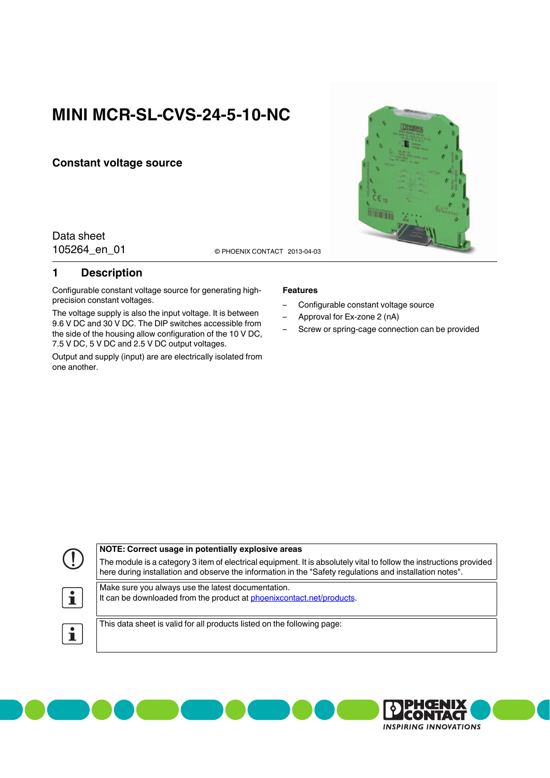# **MINI MCR-SL-CVS-24-5-10-NC**

### **Constant voltage source**

Data sheet

105264\_en\_01 **2013-04-03** © PHOENIX CONTACT 2013-04-03

## <span id="page-0-0"></span>**1 Description**

Configurable constant voltage source for generating highprecision constant voltages.

The voltage supply is also the input voltage. It is between 9.6 V DC and 30 V DC. The DIP switches accessible from the side of the housing allow configuration of the 10 V DC, 7.5 V DC, 5 V DC and 2.5 V DC output voltages.

Output and supply (input) are are electrically isolated from one another.

#### **Features**

- Configurable constant voltage source
- Approval for Ex-zone 2 (nA)
- Screw or spring-cage connection can be provided

|                | NOTE: Correct usage in potentially explosive areas                                                                                                                                                                              |  |  |
|----------------|---------------------------------------------------------------------------------------------------------------------------------------------------------------------------------------------------------------------------------|--|--|
| O.             | The module is a category 3 item of electrical equipment. It is absolutely vital to follow the instructions provided<br>here during installation and observe the information in the "Safety regulations and installation notes". |  |  |
| $ \mathbf{i} $ | Make sure you always use the latest documentation.<br>It can be downloaded from the product at phoenix contact net/products.                                                                                                    |  |  |
| $\bullet$      | This data sheet is valid for all products listed on the following page:                                                                                                                                                         |  |  |



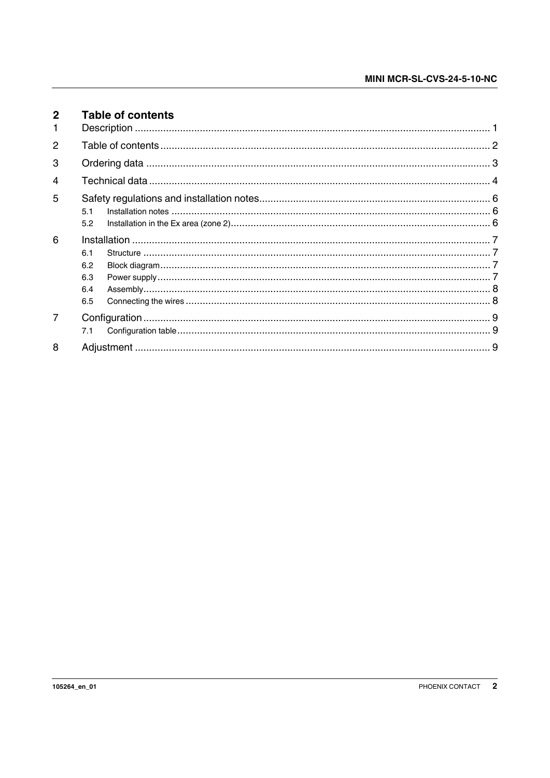<span id="page-1-0"></span>

| $\mathbf{2}$  | <b>Table of contents</b>        |  |
|---------------|---------------------------------|--|
| $\mathcal{P}$ |                                 |  |
| 3             |                                 |  |
| 4             |                                 |  |
| 5             | 5.1<br>5.2                      |  |
| 6             | 6.1<br>6.2<br>6.3<br>6.4<br>6.5 |  |
|               | 7.1                             |  |
| 8             |                                 |  |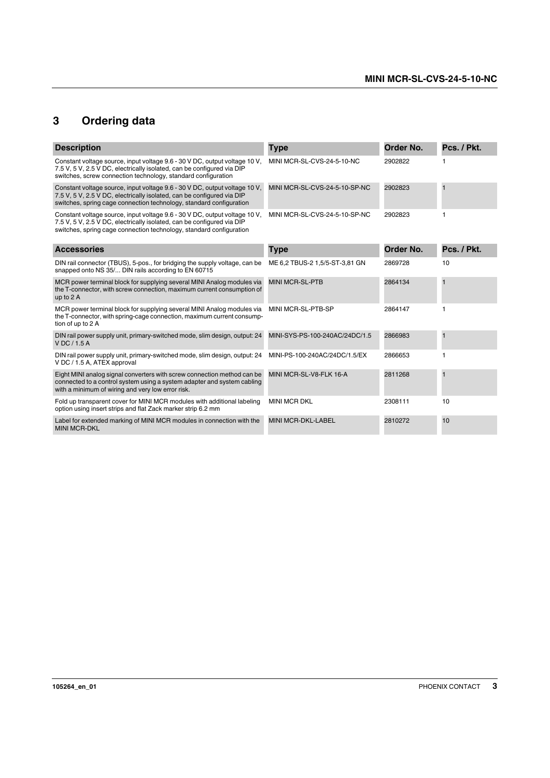## <span id="page-2-0"></span>**3 Ordering data**

| <b>Description</b>                                                                                                                                                                                                          | <b>Type</b>                    | Order No. | Pcs. / Pkt.  |
|-----------------------------------------------------------------------------------------------------------------------------------------------------------------------------------------------------------------------------|--------------------------------|-----------|--------------|
| Constant voltage source, input voltage 9.6 - 30 V DC, output voltage 10 V,<br>7.5 V, 5 V, 2.5 V DC, electrically isolated, can be configured via DIP<br>switches, screw connection technology, standard configuration       | MINI MCR-SL-CVS-24-5-10-NC     | 2902822   |              |
| Constant voltage source, input voltage 9.6 - 30 V DC, output voltage 10 V,<br>7.5 V, 5 V, 2.5 V DC, electrically isolated, can be configured via DIP<br>switches, spring cage connection technology, standard configuration | MINI MCR-SL-CVS-24-5-10-SP-NC  | 2902823   | $\mathbf{1}$ |
| Constant voltage source, input voltage 9.6 - 30 V DC, output voltage 10 V,<br>7.5 V, 5 V, 2.5 V DC, electrically isolated, can be configured via DIP<br>switches, spring cage connection technology, standard configuration | MINI MCR-SL-CVS-24-5-10-SP-NC  | 2902823   | 1            |
| <b>Accessories</b>                                                                                                                                                                                                          | <b>Type</b>                    | Order No. | Pcs. / Pkt.  |
| DIN rail connector (TBUS), 5-pos., for bridging the supply voltage, can be<br>snapped onto NS 35/ DIN rails according to EN 60715                                                                                           | ME 6,2 TBUS-2 1,5/5-ST-3,81 GN | 2869728   | 10           |
| MCR power terminal block for supplying several MINI Analog modules via<br>the T-connector, with screw connection, maximum current consumption of<br>up to 2 A                                                               | <b>MINI MCR-SL-PTB</b>         | 2864134   | $\mathbf{1}$ |
| MCR power terminal block for supplying several MINI Analog modules via<br>the T-connector, with spring-cage connection, maximum current consump-<br>tion of up to 2 A                                                       | MINI MCR-SL-PTB-SP             | 2864147   | 1            |
| DIN rail power supply unit, primary-switched mode, slim design, output: 24<br>VDC/1.5A                                                                                                                                      | MINI-SYS-PS-100-240AC/24DC/1.5 | 2866983   | $\mathbf{1}$ |
| DIN rail power supply unit, primary-switched mode, slim design, output: 24<br>V DC / 1.5 A, ATEX approval                                                                                                                   | MINI-PS-100-240AC/24DC/1.5/EX  | 2866653   | 1            |
| Eight MINI analog signal converters with screw connection method can be<br>connected to a control system using a system adapter and system cabling<br>with a minimum of wiring and very low error risk.                     | MINI MCR-SL-V8-FLK 16-A        | 2811268   | $\mathbf{1}$ |
| Fold up transparent cover for MINI MCR modules with additional labeling<br>option using insert strips and flat Zack marker strip 6.2 mm                                                                                     | <b>MINI MCR DKL</b>            | 2308111   | 10           |
| Label for extended marking of MINI MCR modules in connection with the<br><b>MINI MCR-DKL</b>                                                                                                                                | <b>MINI MCR-DKL-LABEL</b>      | 2810272   | 10           |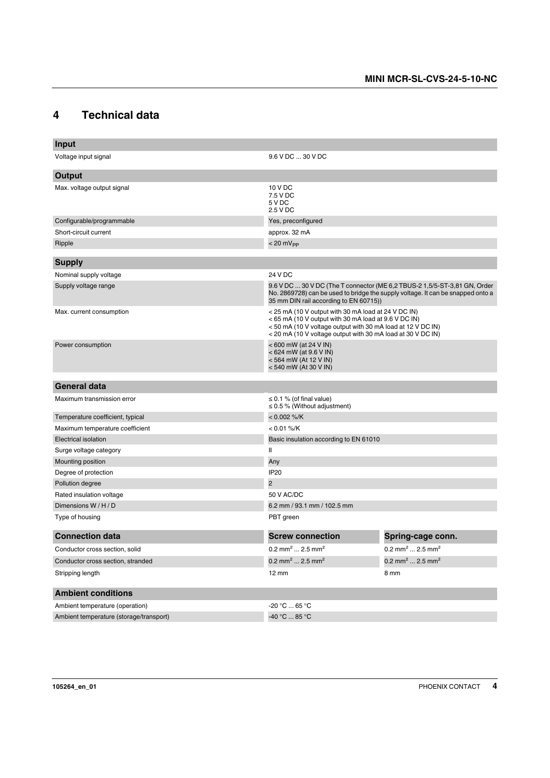## <span id="page-3-0"></span>**4 Technical data**

| Input                                                                                                                                                                                                                          |                                                                                                                                                                                                                                         |                                         |  |
|--------------------------------------------------------------------------------------------------------------------------------------------------------------------------------------------------------------------------------|-----------------------------------------------------------------------------------------------------------------------------------------------------------------------------------------------------------------------------------------|-----------------------------------------|--|
| Voltage input signal                                                                                                                                                                                                           | 9.6 V DC  30 V DC                                                                                                                                                                                                                       |                                         |  |
| Output                                                                                                                                                                                                                         |                                                                                                                                                                                                                                         |                                         |  |
| Max. voltage output signal                                                                                                                                                                                                     | 10 V DC<br>7.5 V DC<br>5 V DC<br>2.5 V DC                                                                                                                                                                                               |                                         |  |
| Configurable/programmable                                                                                                                                                                                                      | Yes, preconfigured                                                                                                                                                                                                                      |                                         |  |
| Short-circuit current                                                                                                                                                                                                          | approx. 32 mA                                                                                                                                                                                                                           |                                         |  |
| Ripple                                                                                                                                                                                                                         | $< 20 \text{ mV}_{PP}$                                                                                                                                                                                                                  |                                         |  |
| <b>Supply</b>                                                                                                                                                                                                                  |                                                                                                                                                                                                                                         |                                         |  |
| Nominal supply voltage                                                                                                                                                                                                         | 24 V DC                                                                                                                                                                                                                                 |                                         |  |
| 9.6 V DC  30 V DC (The T connector (ME 6,2 TBUS-2 1,5/5-ST-3,81 GN, Order<br>Supply voltage range<br>No. 2869728) can be used to bridge the supply voltage. It can be snapped onto a<br>35 mm DIN rail according to EN 60715)) |                                                                                                                                                                                                                                         |                                         |  |
| Max. current consumption                                                                                                                                                                                                       | < 25 mA (10 V output with 30 mA load at 24 V DC IN)<br><65 mA (10 V output with 30 mA load at 9.6 V DC IN)<br><50 mA (10 V voltage output with 30 mA load at 12 V DC IN)<br>< 20 mA (10 V voltage output with 30 mA load at 30 V DC IN) |                                         |  |
| Power consumption                                                                                                                                                                                                              | < 600 mW (at 24 V IN)<br><624 mW (at 9.6 V IN)<br>< 564 mW (At 12 V IN)<br>< 540 mW (At 30 V IN)                                                                                                                                        |                                         |  |
| <b>General data</b>                                                                                                                                                                                                            |                                                                                                                                                                                                                                         |                                         |  |
| Maximum transmission error                                                                                                                                                                                                     | $\leq$ 0.1 % (of final value)<br>$\leq$ 0.5 % (Without adjustment)                                                                                                                                                                      |                                         |  |
| Temperature coefficient, typical                                                                                                                                                                                               | $< 0.002 %$ /K                                                                                                                                                                                                                          |                                         |  |
| Maximum temperature coefficient                                                                                                                                                                                                | $< 0.01 %$ /K                                                                                                                                                                                                                           |                                         |  |
| <b>Electrical isolation</b>                                                                                                                                                                                                    | Basic insulation according to EN 61010                                                                                                                                                                                                  |                                         |  |
| Surge voltage category                                                                                                                                                                                                         | $\mathbf{I}$                                                                                                                                                                                                                            |                                         |  |
| Mounting position                                                                                                                                                                                                              | Any                                                                                                                                                                                                                                     |                                         |  |
| Degree of protection                                                                                                                                                                                                           | <b>IP20</b>                                                                                                                                                                                                                             |                                         |  |
| Pollution degree                                                                                                                                                                                                               | $\overline{2}$                                                                                                                                                                                                                          |                                         |  |
| Rated insulation voltage                                                                                                                                                                                                       | 50 V AC/DC                                                                                                                                                                                                                              |                                         |  |
| Dimensions W / H / D                                                                                                                                                                                                           | 6.2 mm / 93.1 mm / 102.5 mm                                                                                                                                                                                                             |                                         |  |
| Type of housing                                                                                                                                                                                                                | PBT green                                                                                                                                                                                                                               |                                         |  |
| <b>Connection data</b>                                                                                                                                                                                                         | <b>Screw connection</b>                                                                                                                                                                                                                 | Spring-cage conn.                       |  |
| Conductor cross section, solid                                                                                                                                                                                                 | 0.2 mm <sup>2</sup> 2.5 mm <sup>2</sup>                                                                                                                                                                                                 | 0.2 mm <sup>2</sup> 2.5 mm <sup>2</sup> |  |
| Conductor cross section, stranded                                                                                                                                                                                              | 0.2 mm <sup>2</sup> 2.5 mm <sup>2</sup>                                                                                                                                                                                                 | 0.2 mm <sup>2</sup> 2.5 mm <sup>2</sup> |  |
| Stripping length                                                                                                                                                                                                               | $12 \text{ mm}$                                                                                                                                                                                                                         | 8 mm                                    |  |
| <b>Ambient conditions</b>                                                                                                                                                                                                      |                                                                                                                                                                                                                                         |                                         |  |
| Ambient temperature (operation)                                                                                                                                                                                                | -20 °C  65 °C                                                                                                                                                                                                                           |                                         |  |
| Ambient temperature (storage/transport)                                                                                                                                                                                        | -40 °C  85 °C                                                                                                                                                                                                                           |                                         |  |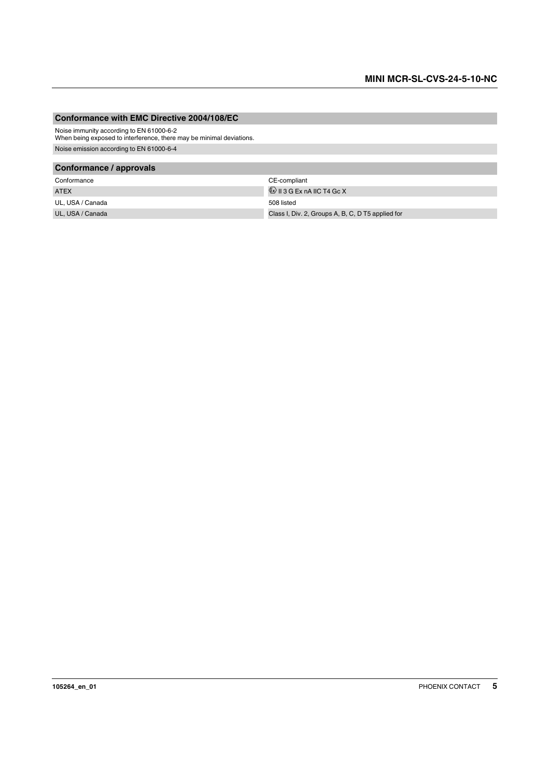#### **Conformance with EMC Directive 2004/108/EC**

Noise immunity according to EN 61000-6-2 When being exposed to interference, there may be minimal deviations.

Noise emission according to EN 61000-6-4

#### **Conformance / approvals**

| Conformance      | CE-compliant                                      |
|------------------|---------------------------------------------------|
| <b>ATEX</b>      | $\langle x \rangle$ II 3 G Ex nA IIC T4 Gc X      |
| UL. USA / Canada | 508 listed                                        |
| UL, USA / Canada | Class I, Div. 2, Groups A, B, C, D T5 applied for |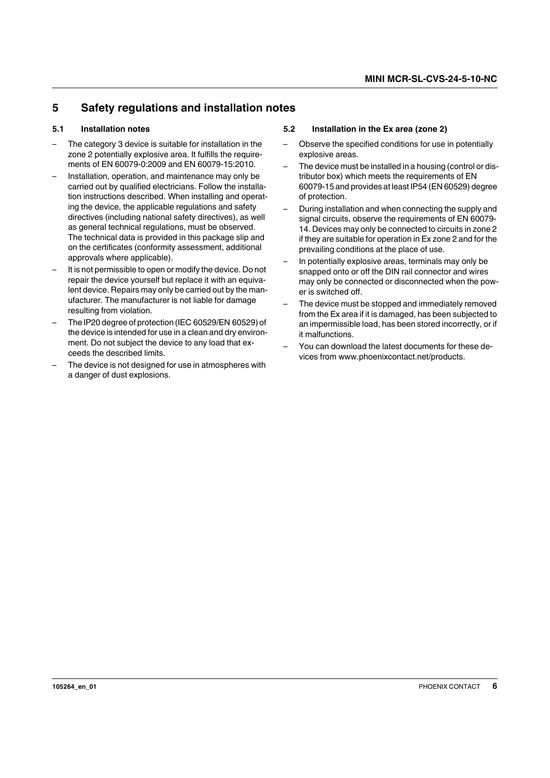## <span id="page-5-0"></span>**5 Safety regulations and installation notes**

## <span id="page-5-1"></span>**5.1 Installation notes**

- The category 3 device is suitable for installation in the zone 2 potentially explosive area. It fulfills the requirements of EN 60079-0:2009 and EN 60079-15:2010.
- Installation, operation, and maintenance may only be carried out by qualified electricians. Follow the installation instructions described. When installing and operating the device, the applicable regulations and safety directives (including national safety directives), as well as general technical regulations, must be observed. The technical data is provided in this package slip and on the certificates (conformity assessment, additional approvals where applicable).
- It is not permissible to open or modify the device. Do not repair the device yourself but replace it with an equivalent device. Repairs may only be carried out by the manufacturer. The manufacturer is not liable for damage resulting from violation.
- The IP20 degree of protection (IEC 60529/EN 60529) of the device is intended for use in a clean and dry environment. Do not subject the device to any load that exceeds the described limits.
- The device is not designed for use in atmospheres with a danger of dust explosions.

## <span id="page-5-2"></span>**5.2 Installation in the Ex area (zone 2)**

- Observe the specified conditions for use in potentially explosive areas.
- The device must be installed in a housing (control or distributor box) which meets the requirements of EN 60079-15 and provides at least IP54 (EN 60529) degree of protection.
- During installation and when connecting the supply and signal circuits, observe the requirements of EN 60079- 14. Devices may only be connected to circuits in zone 2 if they are suitable for operation in Ex zone 2 and for the prevailing conditions at the place of use.
- In potentially explosive areas, terminals may only be snapped onto or off the DIN rail connector and wires may only be connected or disconnected when the power is switched off.
- The device must be stopped and immediately removed from the Ex area if it is damaged, has been subjected to an impermissible load, has been stored incorrectly, or if it malfunctions.
- You can download the latest documents for these devices from www.phoenixcontact.net/products.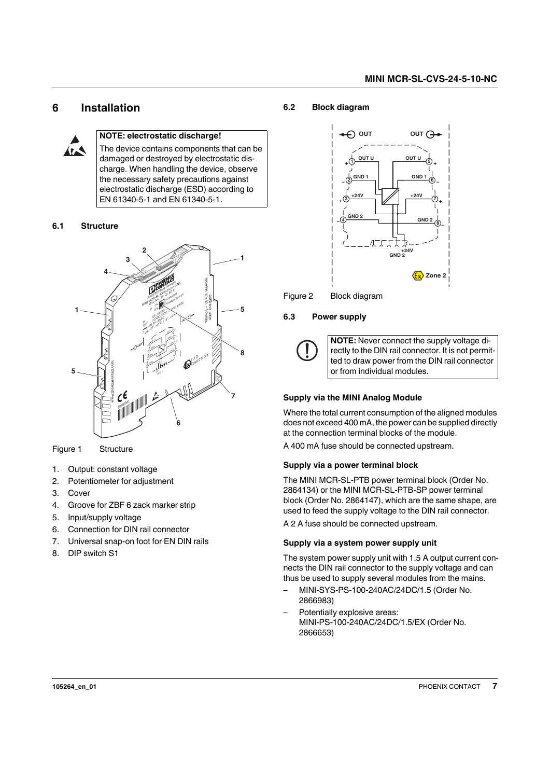## <span id="page-6-0"></span>**6 Installation**



#### **NOTE: electrostatic discharge!**

The device contains components that can be damaged or destroyed by electrostatic discharge. When handling the device, observe the necessary safety precautions against electrostatic discharge (ESD) according to EN 61340-5-1 and EN 61340-5-1.

#### <span id="page-6-1"></span>**6.1 Structure**



Figure 1 Structure

- 1. Output: constant voltage
- 2. Potentiometer for adjustment
- 3. Cover
- 4. Groove for ZBF 6 zack marker strip
- 5. Input/supply voltage
- 6. Connection for DIN rail connector
- 7. Universal snap-on foot for EN DIN rails
- 8. DIP switch S1

#### <span id="page-6-2"></span>**6.2 Block diagram**



Figure 2 Block diagram

#### <span id="page-6-3"></span>**6.3 Power supply**



**NOTE:** Never connect the supply voltage directly to the DIN rail connector. It is not permitted to draw power from the DIN rail connector or from individual modules.

#### **Supply via the MINI Analog Module**

Where the total current consumption of the aligned modules does not exceed 400 mA, the power can be supplied directly at the connection terminal blocks of the module.

A 400 mA fuse should be connected upstream.

#### **Supply via a power terminal block**

The MINI MCR-SL-PTB power terminal block (Order No. 2864134) or the MINI MCR-SL-PTB-SP power terminal block (Order No. 2864147), which are the same shape, are used to feed the supply voltage to the DIN rail connector.

A 2 A fuse should be connected upstream.

#### **Supply via a system power supply unit**

The system power supply unit with 1.5 A output current connects the DIN rail connector to the supply voltage and can thus be used to supply several modules from the mains.

- MINI-SYS-PS-100-240AC/24DC/1.5 (Order No. 2866983)
- Potentially explosive areas: MINI-PS-100-240AC/24DC/1.5/EX (Order No. 2866653)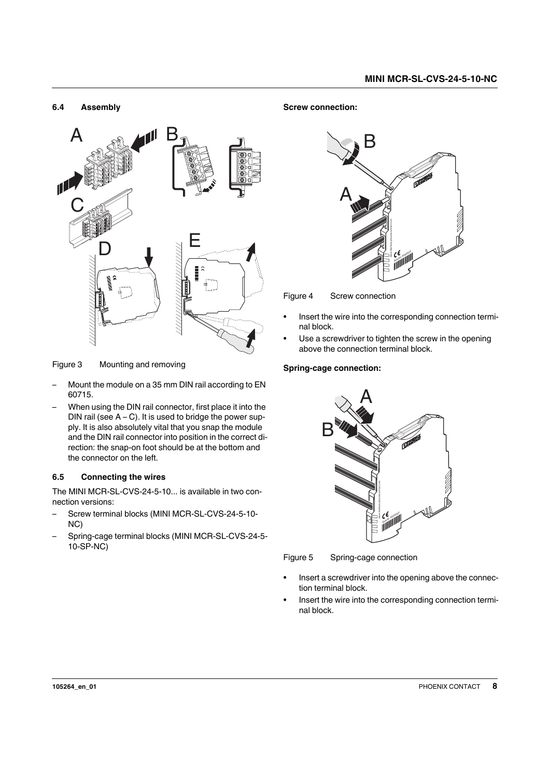#### <span id="page-7-0"></span>**6.4 Assembly**



Figure 3 Mounting and removing

- Mount the module on a 35 mm DIN rail according to EN 60715.
- When using the DIN rail connector, first place it into the DIN rail (see  $A - C$ ). It is used to bridge the power supply. It is also absolutely vital that you snap the module and the DIN rail connector into position in the correct direction: the snap-on foot should be at the bottom and the connector on the left.

### <span id="page-7-1"></span>**6.5 Connecting the wires**

The MINI MCR-SL-CVS-24-5-10... is available in two connection versions:

- Screw terminal blocks (MINI MCR-SL-CVS-24-5-10-NC)
- Spring-cage terminal blocks (MINI MCR-SL-CVS-24-5- 10-SP-NC)

#### **Screw connection:**



Figure 4 Screw connection

- **•** Insert the wire into the corresponding connection terminal block.
- **•** Use a screwdriver to tighten the screw in the opening above the connection terminal block.

### **Spring-cage connection:**



Figure 5 Spring-cage connection

- **•** Insert a screwdriver into the opening above the connection terminal block.
- **•** Insert the wire into the corresponding connection terminal block.